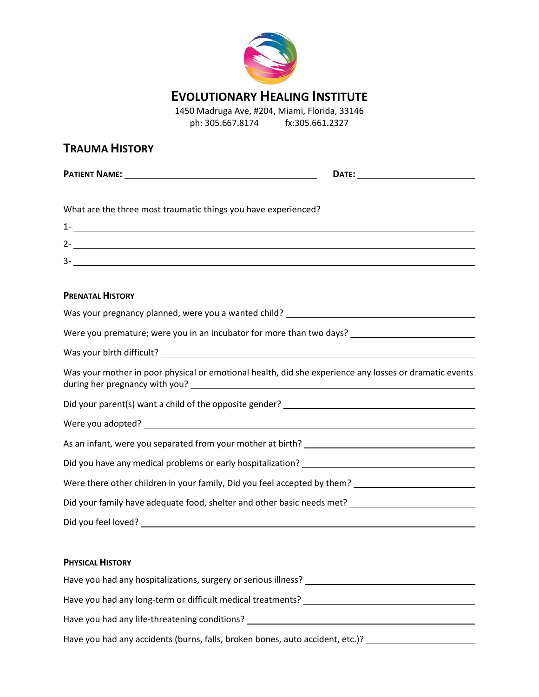

# **EVOLUTIONARY HEALING INSTITUTE**

1450 Madruga Ave, #204, Miami, Florida, 33146 ph: 305.667.8174 fx:305.661.2327

## **TRAUMA HISTORY**

**PATIENT NAME: DATE:**

What are the three most traumatic things you have experienced?

| ∽      |  |
|--------|--|
| ∽<br>◡ |  |

### **PRENATAL HISTORY**

| Was your pregnancy planned, were you a wanted child? ____________________________                      |
|--------------------------------------------------------------------------------------------------------|
| Were you premature; were you in an incubator for more than two days? _______________________________   |
|                                                                                                        |
| Was your mother in poor physical or emotional health, did she experience any losses or dramatic events |
|                                                                                                        |
|                                                                                                        |
|                                                                                                        |
|                                                                                                        |
| Were there other children in your family, Did you feel accepted by them?                               |
| Did your family have adequate food, shelter and other basic needs met? ____________________________    |
|                                                                                                        |
|                                                                                                        |
| <b>PHYSICAL HISTORY</b>                                                                                |

| Have you had any hospitalizations, surgery or serious illness?                |
|-------------------------------------------------------------------------------|
| Have you had any long-term or difficult medical treatments?                   |
| Have you had any life-threatening conditions?                                 |
| Have you had any accidents (burns, falls, broken bones, auto accident, etc.)? |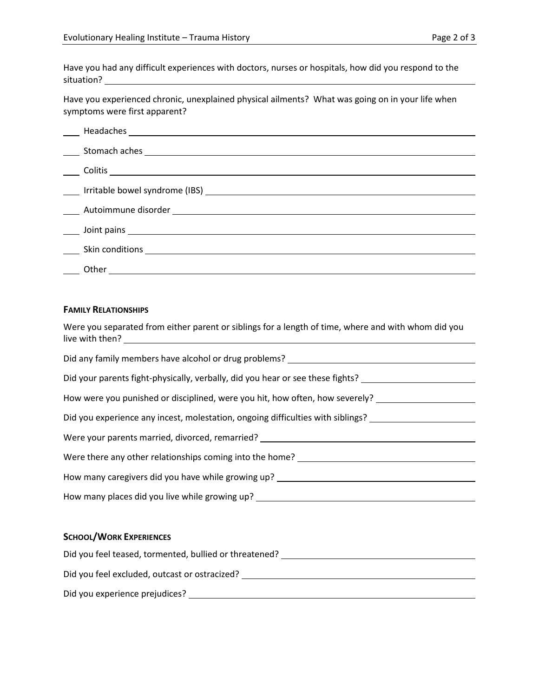Have you had any difficult experiences with doctors, nurses or hospitals, how did you respond to the situation?

Have you experienced chronic, unexplained physical ailments? What was going on in your life when symptoms were first apparent?

| Let Us and Solid District Services and Solid District Services and Solid District Services and Solid District Services and Solid District Services and Solid District Services and Solid District Services and Solid District |
|-------------------------------------------------------------------------------------------------------------------------------------------------------------------------------------------------------------------------------|
|                                                                                                                                                                                                                               |
| Other<br><u> 1980 - Johann Barn, mars ann an t-Amhain Aonaichte ann an t-Amhain Aonaichte ann an t-Amhain Aonaichte ann an</u>                                                                                                |

#### **FAMILY RELATIONSHIPS**

| Were you separated from either parent or siblings for a length of time, where and with whom did you  |
|------------------------------------------------------------------------------------------------------|
| Did any family members have alcohol or drug problems? ___________________________                    |
| Did your parents fight-physically, verbally, did you hear or see these fights? _____________________ |
| How were you punished or disciplined, were you hit, how often, how severely? _______________________ |
| Did you experience any incest, molestation, ongoing difficulties with siblings? ____________________ |
| Were your parents married, divorced, remarried? ________________________________                     |
|                                                                                                      |
| How many caregivers did you have while growing up? ______________________________                    |
| How many places did you live while growing up? _________________________________                     |
|                                                                                                      |
| <b>SCHOOL/WORK EXPERIENCES</b>                                                                       |
| Did you feel teased, tormented, bullied or threatened? _________________________                     |
| Did you feel excluded, outcast or ostracized? __________________________________                     |

Did you experience prejudices?